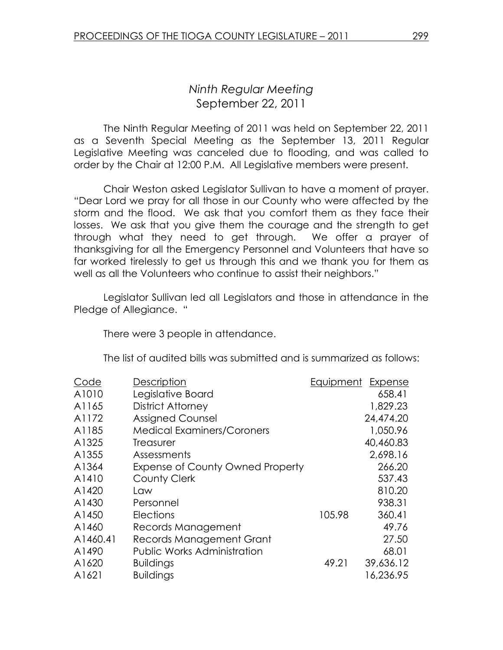## Ninth Regular Meeting September 22, 2011

 The Ninth Regular Meeting of 2011 was held on September 22, 2011 as a Seventh Special Meeting as the September 13, 2011 Regular Legislative Meeting was canceled due to flooding, and was called to order by the Chair at 12:00 P.M. All Legislative members were present.

Chair Weston asked Legislator Sullivan to have a moment of prayer. "Dear Lord we pray for all those in our County who were affected by the storm and the flood. We ask that you comfort them as they face their losses. We ask that you give them the courage and the strength to get through what they need to get through. We offer a prayer of thanksgiving for all the Emergency Personnel and Volunteers that have so far worked tirelessly to get us through this and we thank you for them as well as all the Volunteers who continue to assist their neighbors."

 Legislator Sullivan led all Legislators and those in attendance in the Pledge of Allegiance. "

There were 3 people in attendance.

The list of audited bills was submitted and is summarized as follows:

| Description                             |        | Expense   |
|-----------------------------------------|--------|-----------|
| Legislative Board                       |        | 658.41    |
| District Attorney                       |        | 1,829.23  |
| <b>Assigned Counsel</b>                 |        | 24,474.20 |
| <b>Medical Examiners/Coroners</b>       |        | 1,050.96  |
| Treasurer                               |        | 40,460.83 |
| Assessments                             |        | 2,698.16  |
| <b>Expense of County Owned Property</b> |        | 266.20    |
| <b>County Clerk</b>                     |        | 537.43    |
| Law                                     |        | 810.20    |
| Personnel                               |        | 938.31    |
| <b>Elections</b>                        | 105.98 | 360.41    |
| Records Management                      |        | 49.76     |
| <b>Records Management Grant</b>         |        | 27.50     |
| <b>Public Works Administration</b>      |        | 68.01     |
| <b>Buildings</b>                        | 49.21  | 39,636.12 |
| <b>Buildings</b>                        |        | 16,236.95 |
|                                         |        | Equipment |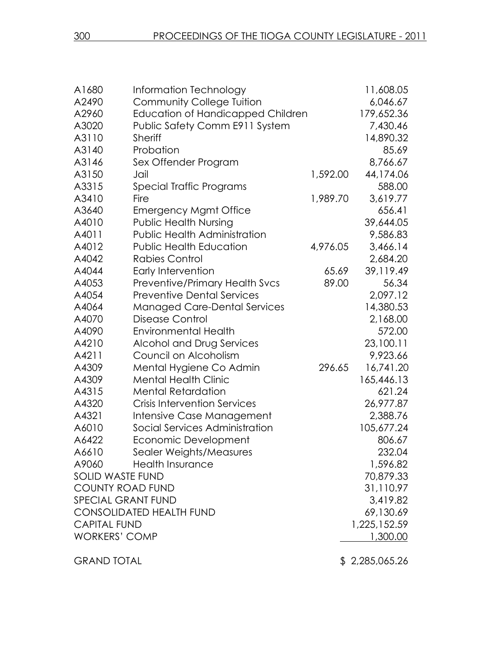| A1680                     | Information Technology                   |          | 11,608.05      |
|---------------------------|------------------------------------------|----------|----------------|
| A2490                     | <b>Community College Tuition</b>         |          | 6,046.67       |
| A2960                     | <b>Education of Handicapped Children</b> |          | 179,652.36     |
| A3020                     | Public Safety Comm E911 System           |          | 7,430.46       |
| A3110                     | <b>Sheriff</b>                           |          | 14,890.32      |
| A3140                     | Probation                                |          | 85.69          |
| A3146                     | Sex Offender Program                     |          | 8,766.67       |
| A3150                     | Jail                                     | 1,592.00 | 44,174.06      |
| A3315                     | Special Traffic Programs                 |          | 588.00         |
| A3410                     | Fire                                     | 1,989.70 | 3,619.77       |
| A3640                     | <b>Emergency Mgmt Office</b>             |          | 656.41         |
| A4010                     | <b>Public Health Nursing</b>             |          | 39,644.05      |
| A4011                     | Public Health Administration             |          | 9,586.83       |
| A4012                     | <b>Public Health Education</b>           | 4,976.05 | 3,466.14       |
| A4042                     | <b>Rabies Control</b>                    |          | 2,684.20       |
| A4044                     | Early Intervention                       | 65.69    | 39,119.49      |
| A4053                     | Preventive/Primary Health Svcs           | 89.00    | 56.34          |
| A4054                     | <b>Preventive Dental Services</b>        |          | 2,097.12       |
| A4064                     | <b>Managed Care-Dental Services</b>      |          | 14,380.53      |
| A4070                     | Disease Control                          |          | 2,168.00       |
| A4090                     | <b>Environmental Health</b>              |          | 572.00         |
| A4210                     | Alcohol and Drug Services                |          | 23,100.11      |
| A4211                     | Council on Alcoholism                    |          | 9,923.66       |
| A4309                     | Mental Hygiene Co Admin                  | 296.65   | 16,741.20      |
| A4309                     | <b>Mental Health Clinic</b>              |          | 165,446.13     |
| A4315                     | <b>Mental Retardation</b>                |          | 621.24         |
| A4320                     | <b>Crisis Intervention Services</b>      |          | 26,977.87      |
| A4321                     | Intensive Case Management                |          | 2,388.76       |
| A6010                     | Social Services Administration           |          | 105,677.24     |
| A6422                     | Economic Development                     |          | 806.67         |
|                           | A6610 Sealer Weights/Measures            |          | 232.04         |
| A9060                     | <b>Health Insurance</b>                  |          | 1,596.82       |
| <b>SOLID WASTE FUND</b>   |                                          |          | 70,879.33      |
| <b>COUNTY ROAD FUND</b>   |                                          |          | 31,110.97      |
| <b>SPECIAL GRANT FUND</b> |                                          |          | 3,419.82       |
|                           | <b>CONSOLIDATED HEALTH FUND</b>          |          | 69,130.69      |
| <b>CAPITAL FUND</b>       |                                          |          | 1,225,152.59   |
| <b>WORKERS' COMP</b>      |                                          |          | 1,300.00       |
| <b>GRAND TOTAL</b>        |                                          |          | \$2,285,065.26 |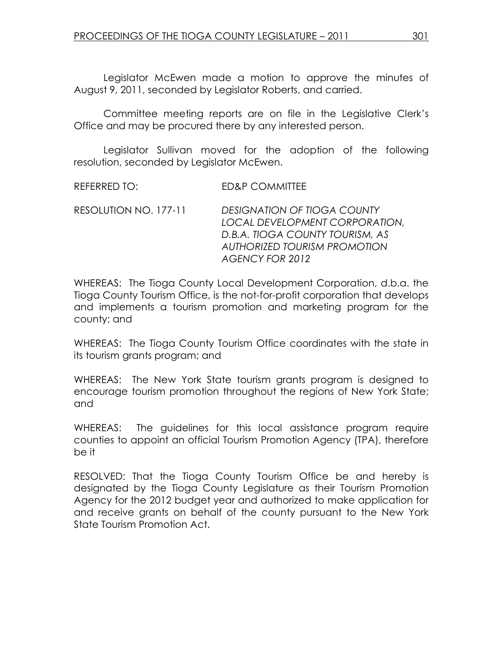Legislator McEwen made a motion to approve the minutes of August 9, 2011, seconded by Legislator Roberts, and carried.

Committee meeting reports are on file in the Legislative Clerk's Office and may be procured there by any interested person.

 Legislator Sullivan moved for the adoption of the following resolution, seconded by Legislator McEwen.

RESOLUTION NO. 177-11 DESIGNATION OF TIOGA COUNTY LOCAL DEVELOPMENT CORPORATION, D.B.A. TIOGA COUNTY TOURISM, AS AUTHORIZED TOURISM PROMOTION AGENCY FOR 2012

WHEREAS: The Tioga County Local Development Corporation, d.b.a. the Tioga County Tourism Office, is the not-for-profit corporation that develops and implements a tourism promotion and marketing program for the county; and

WHEREAS: The Tioga County Tourism Office coordinates with the state in its tourism grants program; and

WHEREAS: The New York State tourism grants program is designed to encourage tourism promotion throughout the regions of New York State; and

WHEREAS: The guidelines for this local assistance program require counties to appoint an official Tourism Promotion Agency (TPA), therefore be it

RESOLVED: That the Tioga County Tourism Office be and hereby is designated by the Tioga County Legislature as their Tourism Promotion Agency for the 2012 budget year and authorized to make application for and receive grants on behalf of the county pursuant to the New York State Tourism Promotion Act.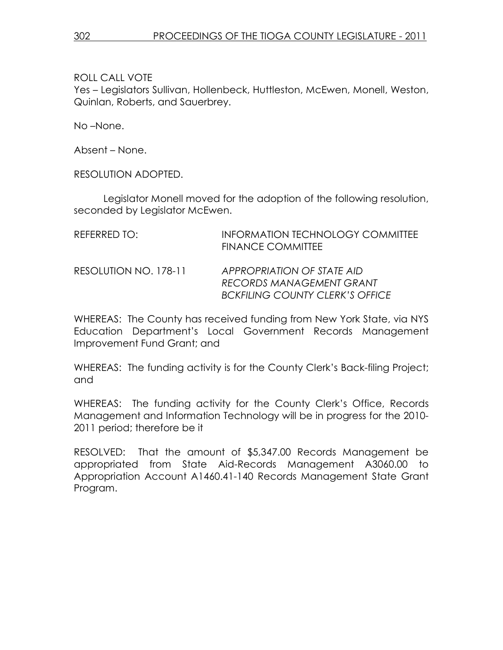Yes – Legislators Sullivan, Hollenbeck, Huttleston, McEwen, Monell, Weston, Quinlan, Roberts, and Sauerbrey.

No –None.

Absent – None.

RESOLUTION ADOPTED.

 Legislator Monell moved for the adoption of the following resolution, seconded by Legislator McEwen.

| REFERRED TO:          | <b>INFORMATION TECHNOLOGY COMMITTEE</b><br><b>FINANCE COMMITTEE</b>                                     |
|-----------------------|---------------------------------------------------------------------------------------------------------|
| RESOLUTION NO. 178-11 | APPROPRIATION OF STATE AID<br><b>RECORDS MANAGEMENT GRANT</b><br><b>BCKFILING COUNTY CLERK'S OFFICE</b> |

WHEREAS: The County has received funding from New York State, via NYS Education Department's Local Government Records Management Improvement Fund Grant; and

WHEREAS: The funding activity is for the County Clerk's Back-filing Project; and

WHEREAS: The funding activity for the County Clerk's Office, Records Management and Information Technology will be in progress for the 2010- 2011 period; therefore be it

RESOLVED: That the amount of \$5,347.00 Records Management be appropriated from State Aid-Records Management A3060.00 to Appropriation Account A1460.41-140 Records Management State Grant Program.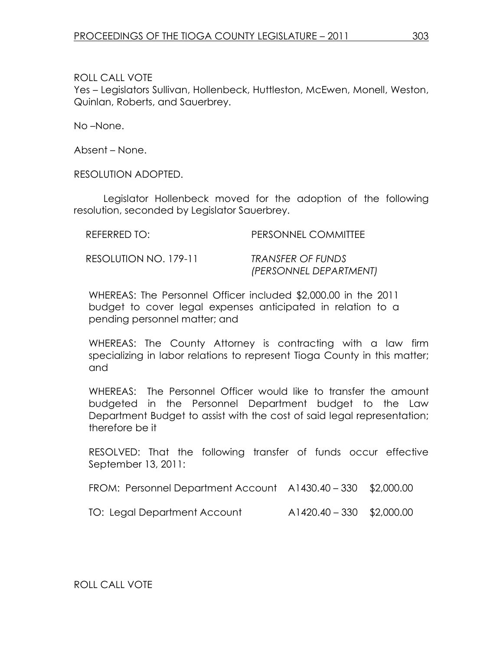Yes – Legislators Sullivan, Hollenbeck, Huttleston, McEwen, Monell, Weston, Quinlan, Roberts, and Sauerbrey.

No –None.

Absent – None.

RESOLUTION ADOPTED.

 Legislator Hollenbeck moved for the adoption of the following resolution, seconded by Legislator Sauerbrey.

| REFERRED TO:          | PERSONNEL COMMITTEE    |
|-----------------------|------------------------|
| RESOLUTION NO. 179-11 | TRANSFER OF FUNDS      |
|                       | (PERSONNEL DEPARTMENT) |

WHEREAS: The Personnel Officer included \$2,000.00 in the 2011 budget to cover legal expenses anticipated in relation to a pending personnel matter; and

WHEREAS: The County Attorney is contracting with a law firm specializing in labor relations to represent Tioga County in this matter; and

WHEREAS: The Personnel Officer would like to transfer the amount budgeted in the Personnel Department budget to the Law Department Budget to assist with the cost of said legal representation; therefore be it

RESOLVED: That the following transfer of funds occur effective September 13, 2011:

FROM: Personnel Department Account A1430.40 – 330 \$2,000.00

TO: Legal Department Account A1420.40 – 330 \$2,000.00

ROLL CALL VOTE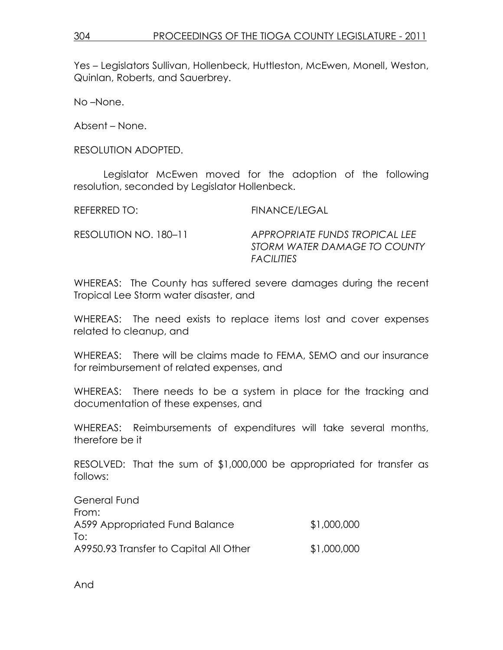Yes – Legislators Sullivan, Hollenbeck, Huttleston, McEwen, Monell, Weston, Quinlan, Roberts, and Sauerbrey.

No –None.

Absent – None.

RESOLUTION ADOPTED.

 Legislator McEwen moved for the adoption of the following resolution, seconded by Legislator Hollenbeck.

REFERRED TO: FINANCE/LEGAL

RESOLUTION NO. 180–11 APPROPRIATE FUNDS TROPICAL LEE STORM WATER DAMAGE TO COUNTY **FACILITIES** 

WHEREAS: The County has suffered severe damages during the recent Tropical Lee Storm water disaster, and

WHEREAS: The need exists to replace items lost and cover expenses related to cleanup, and

WHEREAS: There will be claims made to FEMA, SEMO and our insurance for reimbursement of related expenses, and

WHEREAS: There needs to be a system in place for the tracking and documentation of these expenses, and

WHEREAS: Reimbursements of expenditures will take several months, therefore be it

RESOLVED: That the sum of \$1,000,000 be appropriated for transfer as follows:

| General Fund                           |             |
|----------------------------------------|-------------|
| From:                                  |             |
| A599 Appropriated Fund Balance         | \$1,000,000 |
| To:                                    |             |
| A9950.93 Transfer to Capital All Other | \$1,000,000 |

And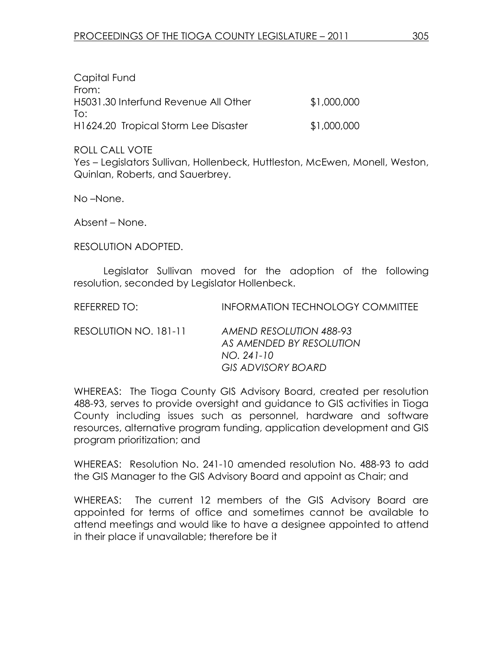| Capital Fund                         |             |
|--------------------------------------|-------------|
| From:                                |             |
| H5031.30 Interfund Revenue All Other | \$1,000,000 |
| lo:                                  |             |
| H1624.20 Tropical Storm Lee Disaster | \$1,000,000 |

Yes – Legislators Sullivan, Hollenbeck, Huttleston, McEwen, Monell, Weston, Quinlan, Roberts, and Sauerbrey.

No –None.

Absent – None.

RESOLUTION ADOPTED.

 Legislator Sullivan moved for the adoption of the following resolution, seconded by Legislator Hollenbeck.

REFERRED TO: INFORMATION TECHNOLOGY COMMITTEE RESOLUTION NO. 181-11 AMEND RESOLUTION 488-93 AS AMENDED BY RESOLUTION

NO. 241-10

 GIS ADVISORY BOARD WHEREAS: The Tioga County GIS Advisory Board, created per resolution 488-93, serves to provide oversight and guidance to GIS activities in Tioga County including issues such as personnel, hardware and software resources, alternative program funding, application development and GIS program prioritization; and

WHEREAS: Resolution No. 241-10 amended resolution No. 488-93 to add the GIS Manager to the GIS Advisory Board and appoint as Chair; and

WHEREAS: The current 12 members of the GIS Advisory Board are appointed for terms of office and sometimes cannot be available to attend meetings and would like to have a designee appointed to attend in their place if unavailable; therefore be it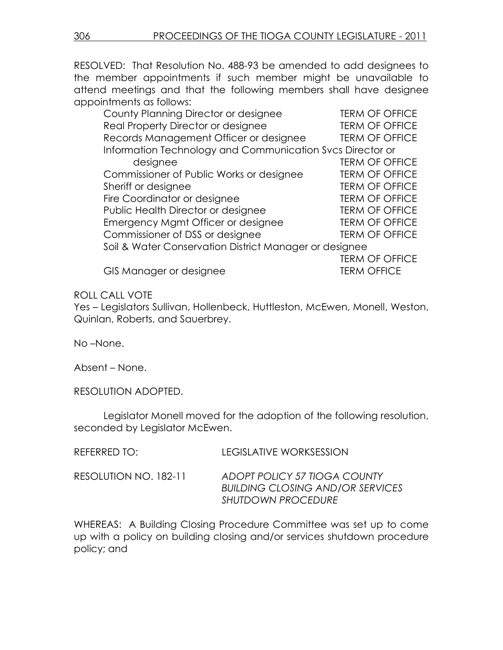RESOLVED: That Resolution No. 488-93 be amended to add designees to the member appointments if such member might be unavailable to attend meetings and that the following members shall have designee appointments as follows:

| County Planning Director or designee                      | <b>TERM OF OFFICE</b> |
|-----------------------------------------------------------|-----------------------|
| Real Property Director or designee                        | <b>TERM OF OFFICE</b> |
| Records Management Officer or designee                    | <b>TERM OF OFFICE</b> |
| Information Technology and Communication Svcs Director or |                       |
| designee                                                  | <b>TERM OF OFFICE</b> |
| Commissioner of Public Works or designee                  | <b>TERM OF OFFICE</b> |
| Sheriff or designee                                       | <b>TERM OF OFFICE</b> |
| Fire Coordinator or designee                              | <b>TERM OF OFFICE</b> |
| Public Health Director or designee                        | <b>TERM OF OFFICE</b> |
| Emergency Mgmt Officer or designee                        | <b>TERM OF OFFICE</b> |
| Commissioner of DSS or designee                           | <b>TERM OF OFFICE</b> |
| Soil & Water Conservation District Manager or designee    |                       |
|                                                           | <b>TERM OF OFFICE</b> |
| GIS Manager or designee                                   | <b>TERM OFFICE</b>    |
|                                                           |                       |

## ROLL CALL VOTE

Yes – Legislators Sullivan, Hollenbeck, Huttleston, McEwen, Monell, Weston, Quinlan, Roberts, and Sauerbrey.

No –None.

Absent – None.

RESOLUTION ADOPTED.

 Legislator Monell moved for the adoption of the following resolution, seconded by Legislator McEwen.

| REFERRED TO:          | LEGISLATIVE WORKSESSION                                                                              |
|-----------------------|------------------------------------------------------------------------------------------------------|
| RESOLUTION NO. 182-11 | ADOPT POLICY 57 TIOGA COUNTY<br><b>BUILDING CLOSING AND/OR SERVICES</b><br><b>SHUTDOWN PROCEDURE</b> |

WHEREAS: A Building Closing Procedure Committee was set up to come up with a policy on building closing and/or services shutdown procedure policy; and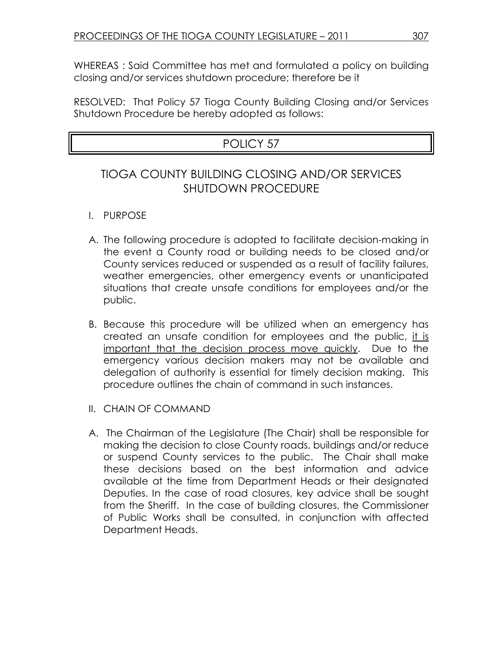WHEREAS : Said Committee has met and formulated a policy on building closing and/or services shutdown procedure; therefore be it

RESOLVED: That Policy 57 Tioga County Building Closing and/or Services Shutdown Procedure be hereby adopted as follows:

# POLICY 57

## TIOGA COUNTY BUILDING CLOSING AND/OR SERVICES SHUTDOWN PROCEDURE

- I. PURPOSE
- A. The following procedure is adopted to facilitate decision-making in the event a County road or building needs to be closed and/or County services reduced or suspended as a result of facility failures, weather emergencies, other emergency events or unanticipated situations that create unsafe conditions for employees and/or the public.
- B. Because this procedure will be utilized when an emergency has created an unsafe condition for employees and the public, it is important that the decision process move quickly. Due to the emergency various decision makers may not be available and delegation of authority is essential for timely decision making. This procedure outlines the chain of command in such instances.
- II. CHAIN OF COMMAND
- A. The Chairman of the Legislature (The Chair) shall be responsible for making the decision to close County roads, buildings and/or reduce or suspend County services to the public. The Chair shall make these decisions based on the best information and advice available at the time from Department Heads or their designated Deputies. In the case of road closures, key advice shall be sought from the Sheriff. In the case of building closures, the Commissioner of Public Works shall be consulted, in conjunction with affected Department Heads.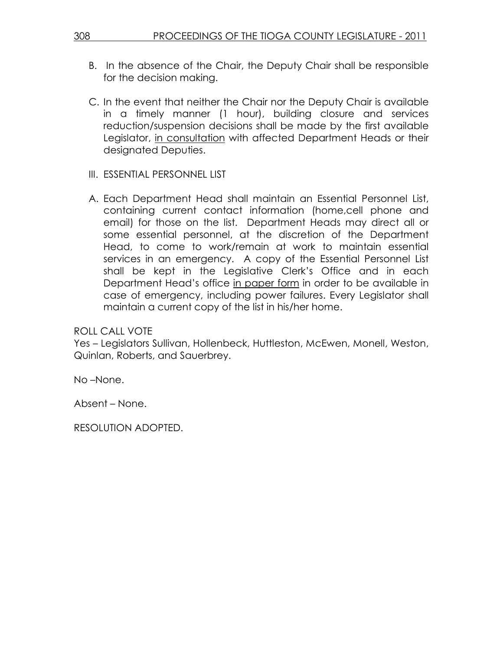- B. In the absence of the Chair, the Deputy Chair shall be responsible for the decision making.
- C. In the event that neither the Chair nor the Deputy Chair is available in a timely manner (1 hour), building closure and services reduction/suspension decisions shall be made by the first available Legislator, in consultation with affected Department Heads or their designated Deputies.
- III. ESSENTIAL PERSONNEL LIST
- A. Each Department Head shall maintain an Essential Personnel List, containing current contact information (home,cell phone and email) for those on the list. Department Heads may direct all or some essential personnel, at the discretion of the Department Head, to come to work/remain at work to maintain essential services in an emergency. A copy of the Essential Personnel List shall be kept in the Legislative Clerk's Office and in each Department Head's office in paper form in order to be available in case of emergency, including power failures. Every Legislator shall maintain a current copy of the list in his/her home.

Yes – Legislators Sullivan, Hollenbeck, Huttleston, McEwen, Monell, Weston, Quinlan, Roberts, and Sauerbrey.

No –None.

Absent – None.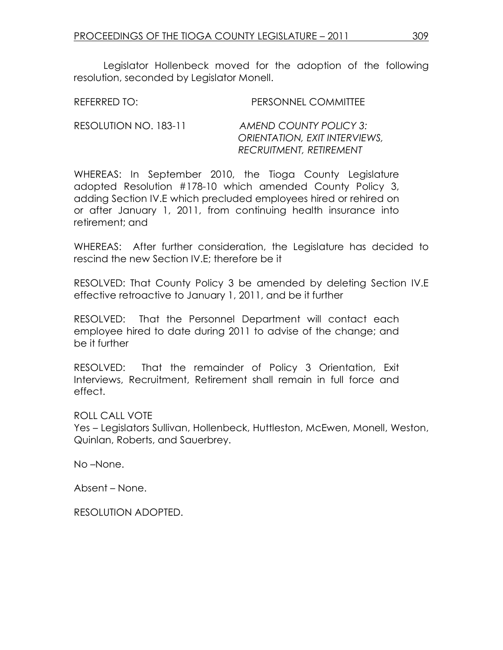Legislator Hollenbeck moved for the adoption of the following resolution, seconded by Legislator Monell.

| REFERRED TO:          | PERSONNEL COMMITTEE                                                   |
|-----------------------|-----------------------------------------------------------------------|
| RESOLUTION NO. 183-11 | AMEND COUNTY POLICY 3:<br><i><b>ORIENTATION, EXIT INTERVIEWS,</b></i> |

 RECRUITMENT, RETIREMENT WHEREAS: In September 2010, the Tioga County Legislature adopted Resolution #178-10 which amended County Policy 3, adding Section IV.E which precluded employees hired or rehired on or after January 1, 2011, from continuing health insurance into

WHEREAS: After further consideration, the Legislature has decided to rescind the new Section IV.E; therefore be it

RESOLVED: That County Policy 3 be amended by deleting Section IV.E effective retroactive to January 1, 2011, and be it further

RESOLVED: That the Personnel Department will contact each employee hired to date during 2011 to advise of the change; and be it further

RESOLVED: That the remainder of Policy 3 Orientation, Exit Interviews, Recruitment, Retirement shall remain in full force and effect.

ROLL CALL VOTE Yes – Legislators Sullivan, Hollenbeck, Huttleston, McEwen, Monell, Weston, Quinlan, Roberts, and Sauerbrey.

No –None.

Absent – None.

retirement; and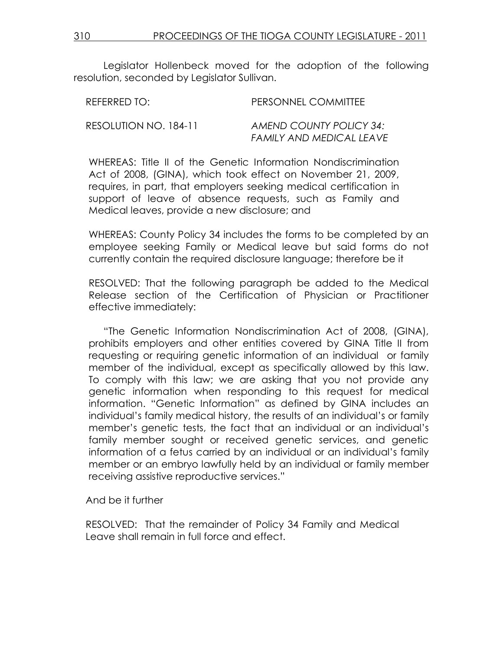Legislator Hollenbeck moved for the adoption of the following resolution, seconded by Legislator Sullivan.

| REFERRED TO:          | PERSONNEL COMMITTEE            |
|-----------------------|--------------------------------|
| RESOLUTION NO. 184-11 | <b>AMEND COUNTY POLICY 34:</b> |
|                       | FAMILY AND MEDICAL LEAVE       |

WHEREAS: Title II of the Genetic Information Nondiscrimination Act of 2008, (GINA), which took effect on November 21, 2009, requires, in part, that employers seeking medical certification in support of leave of absence requests, such as Family and Medical leaves, provide a new disclosure; and

WHEREAS: County Policy 34 includes the forms to be completed by an employee seeking Family or Medical leave but said forms do not currently contain the required disclosure language; therefore be it

RESOLVED: That the following paragraph be added to the Medical Release section of the Certification of Physician or Practitioner effective immediately:

 "The Genetic Information Nondiscrimination Act of 2008, (GINA), prohibits employers and other entities covered by GINA Title II from requesting or requiring genetic information of an individual or family member of the individual, except as specifically allowed by this law. To comply with this law; we are asking that you not provide any genetic information when responding to this request for medical information. "Genetic Information" as defined by GINA includes an individual's family medical history, the results of an individual's or family member's genetic tests, the fact that an individual or an individual's family member sought or received genetic services, and genetic information of a fetus carried by an individual or an individual's family member or an embryo lawfully held by an individual or family member receiving assistive reproductive services."

And be it further

RESOLVED: That the remainder of Policy 34 Family and Medical Leave shall remain in full force and effect.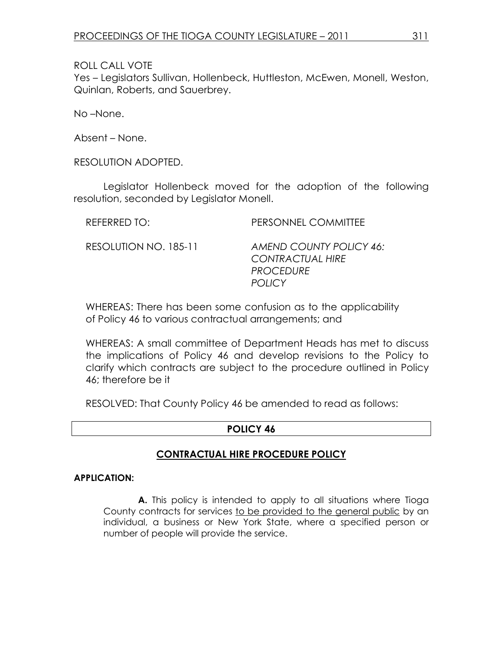Yes – Legislators Sullivan, Hollenbeck, Huttleston, McEwen, Monell, Weston, Quinlan, Roberts, and Sauerbrey.

No –None.

Absent – None.

RESOLUTION ADOPTED.

 Legislator Hollenbeck moved for the adoption of the following resolution, seconded by Legislator Monell.

| REFERRED TO:          | PERSONNEL COMMITTEE                                                                     |
|-----------------------|-----------------------------------------------------------------------------------------|
| RESOLUTION NO. 185-11 | AMEND COUNTY POLICY 46:<br><b>CONTRACTUAL HIRE</b><br><b>PROCEDURE</b><br><b>POLICY</b> |

WHEREAS: There has been some confusion as to the applicability of Policy 46 to various contractual arrangements; and

WHEREAS: A small committee of Department Heads has met to discuss the implications of Policy 46 and develop revisions to the Policy to clarify which contracts are subject to the procedure outlined in Policy 46; therefore be it

RESOLVED: That County Policy 46 be amended to read as follows:

#### POLICY 46

## CONTRACTUAL HIRE PROCEDURE POLICY

#### APPLICATION:

 A. This policy is intended to apply to all situations where Tioga County contracts for services to be provided to the general public by an individual, a business or New York State, where a specified person or number of people will provide the service.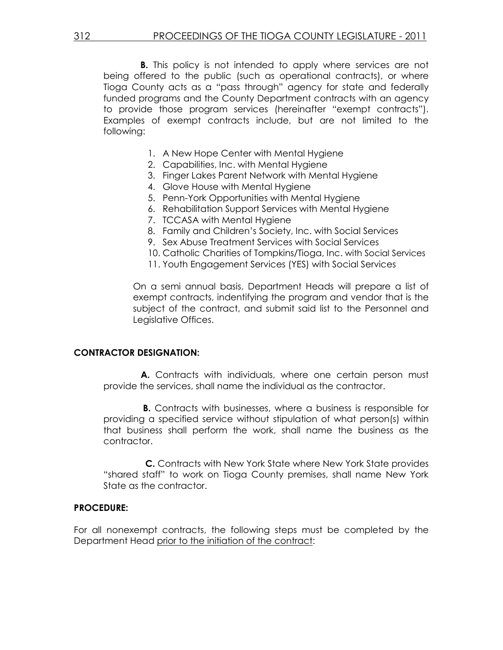**B.** This policy is not intended to apply where services are not being offered to the public (such as operational contracts), or where Tioga County acts as a "pass through" agency for state and federally funded programs and the County Department contracts with an agency to provide those program services (hereinafter "exempt contracts"). Examples of exempt contracts include, but are not limited to the following:

- 1. A New Hope Center with Mental Hygiene
- 2. Capabilities, Inc. with Mental Hygiene
- 3. Finger Lakes Parent Network with Mental Hygiene
- 4. Glove House with Mental Hygiene
- 5. Penn-York Opportunities with Mental Hygiene
- 6. Rehabilitation Support Services with Mental Hygiene
- 7. TCCASA with Mental Hygiene
- 8. Family and Children's Society, Inc. with Social Services
- 9. Sex Abuse Treatment Services with Social Services
- 10. Catholic Charities of Tompkins/Tioga, Inc. with Social Services
- 11. Youth Engagement Services (YES) with Social Services

On a semi annual basis, Department Heads will prepare a list of exempt contracts, indentifying the program and vendor that is the subject of the contract, and submit said list to the Personnel and Legislative Offices.

#### CONTRACTOR DESIGNATION:

A. Contracts with individuals, where one certain person must provide the services, shall name the individual as the contractor.

 B. Contracts with businesses, where a business is responsible for providing a specified service without stipulation of what person(s) within that business shall perform the work, shall name the business as the contractor.

 C. Contracts with New York State where New York State provides "shared staff" to work on Tioga County premises, shall name New York State as the contractor.

#### PROCEDURE:

For all nonexempt contracts, the following steps must be completed by the Department Head prior to the initiation of the contract: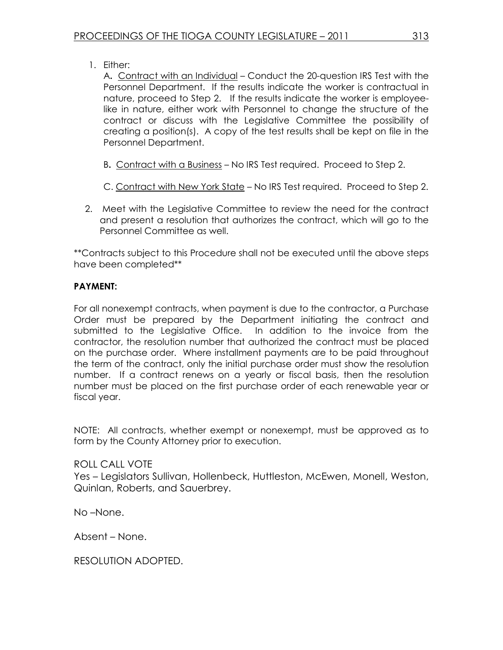1. Either:

A. Contract with an Individual – Conduct the 20-question IRS Test with the Personnel Department. If the results indicate the worker is contractual in nature, proceed to Step 2. If the results indicate the worker is employeelike in nature, either work with Personnel to change the structure of the contract or discuss with the Legislative Committee the possibility of creating a position(s). A copy of the test results shall be kept on file in the Personnel Department.

- B. Contract with a Business No IRS Test required. Proceed to Step 2.
- C. Contract with New York State No IRS Test required. Proceed to Step 2.
- 2. Meet with the Legislative Committee to review the need for the contract and present a resolution that authorizes the contract, which will go to the Personnel Committee as well.

\*\*Contracts subject to this Procedure shall not be executed until the above steps have been completed\*\*

## PAYMENT:

For all nonexempt contracts, when payment is due to the contractor, a Purchase Order must be prepared by the Department initiating the contract and submitted to the Legislative Office. In addition to the invoice from the contractor, the resolution number that authorized the contract must be placed on the purchase order. Where installment payments are to be paid throughout the term of the contract, only the initial purchase order must show the resolution number. If a contract renews on a yearly or fiscal basis, then the resolution number must be placed on the first purchase order of each renewable year or fiscal year.

NOTE: All contracts, whether exempt or nonexempt, must be approved as to form by the County Attorney prior to execution.

## ROLL CALL VOTE Yes – Legislators Sullivan, Hollenbeck, Huttleston, McEwen, Monell, Weston, Quinlan, Roberts, and Sauerbrey.

No –None.

Absent – None.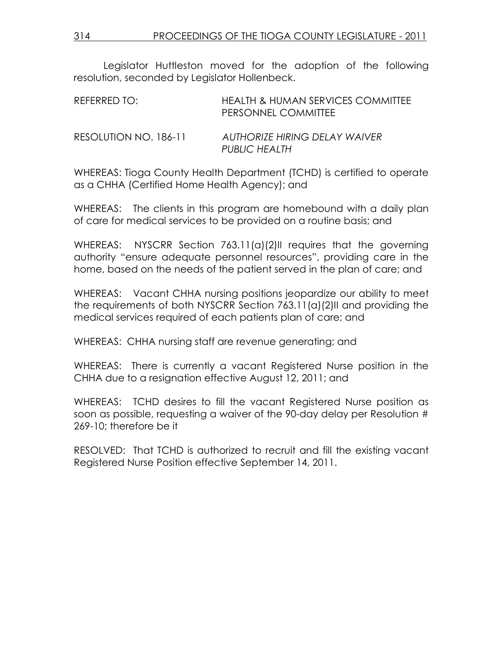Legislator Huttleston moved for the adoption of the following resolution, seconded by Legislator Hollenbeck.

| REFERRED TO:          | <b>HEALTH &amp; HUMAN SERVICES COMMITTEE</b><br>PERSONNEL COMMITTEE |
|-----------------------|---------------------------------------------------------------------|
| RESOLUTION NO. 186-11 | AUTHORIZE HIRING DELAY WAIVER<br><b>PUBLIC HEALTH</b>               |

WHEREAS: Tioga County Health Department (TCHD) is certified to operate as a CHHA (Certified Home Health Agency); and

WHEREAS: The clients in this program are homebound with a daily plan of care for medical services to be provided on a routine basis; and

WHEREAS: NYSCRR Section 763.11(a)(2)II requires that the governing authority "ensure adequate personnel resources", providing care in the home, based on the needs of the patient served in the plan of care; and

WHEREAS: Vacant CHHA nursing positions jeopardize our ability to meet the requirements of both NYSCRR Section 763.11(a)(2)II and providing the medical services required of each patients plan of care; and

WHEREAS: CHHA nursing staff are revenue generating; and

WHEREAS: There is currently a vacant Registered Nurse position in the CHHA due to a resignation effective August 12, 2011; and

WHEREAS: TCHD desires to fill the vacant Registered Nurse position as soon as possible, requesting a waiver of the 90-day delay per Resolution # 269-10; therefore be it

RESOLVED: That TCHD is authorized to recruit and fill the existing vacant Registered Nurse Position effective September 14, 2011.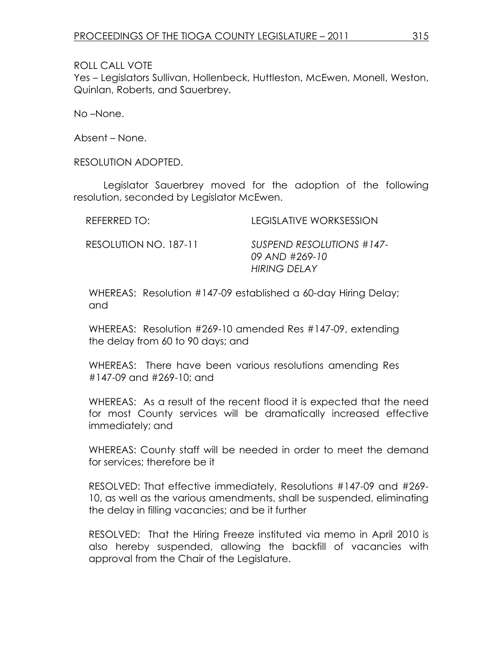Yes – Legislators Sullivan, Hollenbeck, Huttleston, McEwen, Monell, Weston, Quinlan, Roberts, and Sauerbrey.

No –None.

Absent – None.

RESOLUTION ADOPTED.

 Legislator Sauerbrey moved for the adoption of the following resolution, seconded by Legislator McEwen.

| REFERRED TO:          | <b>LEGISLATIVE WORKSESSION</b>                                     |
|-----------------------|--------------------------------------------------------------------|
| RESOLUTION NO. 187-11 | SUSPEND RESOLUTIONS #147-<br>09 AND #269-10<br><b>HIRING DELAY</b> |

WHEREAS: Resolution #147-09 established a 60-day Hiring Delay; and

WHEREAS: Resolution #269-10 amended Res #147-09, extending the delay from 60 to 90 days; and

WHEREAS: There have been various resolutions amending Res #147-09 and #269-10; and

WHEREAS: As a result of the recent flood it is expected that the need for most County services will be dramatically increased effective immediately; and

WHEREAS: County staff will be needed in order to meet the demand for services; therefore be it

RESOLVED: That effective immediately, Resolutions #147-09 and #269- 10, as well as the various amendments, shall be suspended, eliminating the delay in filling vacancies; and be it further

RESOLVED: That the Hiring Freeze instituted via memo in April 2010 is also hereby suspended, allowing the backfill of vacancies with approval from the Chair of the Legislature.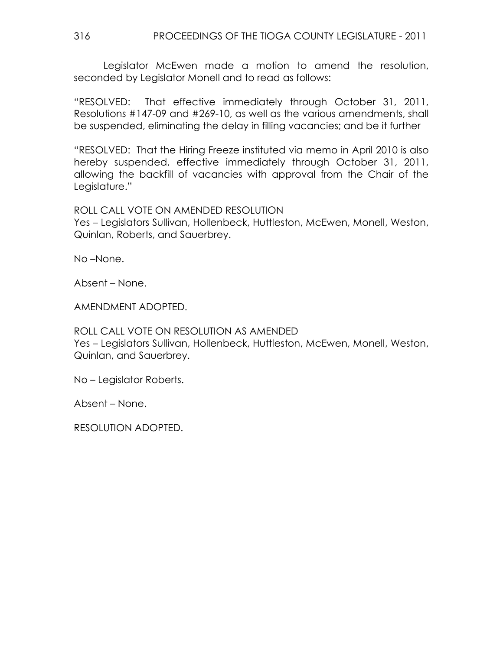Legislator McEwen made a motion to amend the resolution, seconded by Legislator Monell and to read as follows:

"RESOLVED: That effective immediately through October 31, 2011, Resolutions #147-09 and #269-10, as well as the various amendments, shall be suspended, eliminating the delay in filling vacancies; and be it further

"RESOLVED: That the Hiring Freeze instituted via memo in April 2010 is also hereby suspended, effective immediately through October 31, 2011, allowing the backfill of vacancies with approval from the Chair of the Legislature."

## ROLL CALL VOTE ON AMENDED RESOLUTION

Yes – Legislators Sullivan, Hollenbeck, Huttleston, McEwen, Monell, Weston, Quinlan, Roberts, and Sauerbrey.

No –None.

Absent – None.

AMENDMENT ADOPTED.

ROLL CALL VOTE ON RESOLUTION AS AMENDED Yes – Legislators Sullivan, Hollenbeck, Huttleston, McEwen, Monell, Weston, Quinlan, and Sauerbrey.

No – Legislator Roberts.

Absent – None.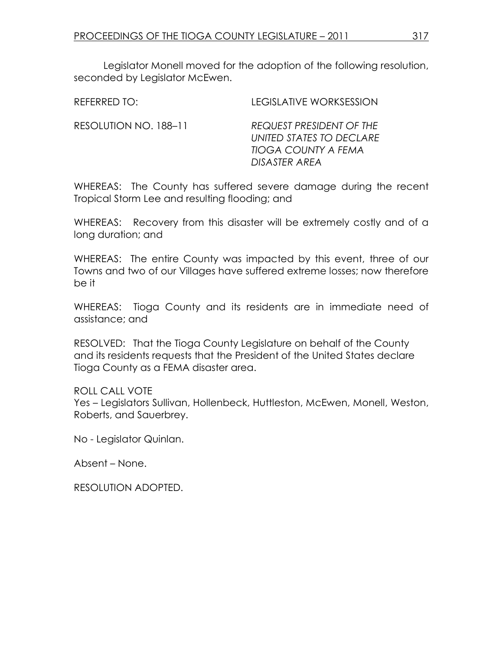Legislator Monell moved for the adoption of the following resolution, seconded by Legislator McEwen.

| REFERRED TO:          | <b>LEGISLATIVE WORKSESSION</b>                                                                             |
|-----------------------|------------------------------------------------------------------------------------------------------------|
| RESOLUTION NO. 188-11 | <b>REQUEST PRESIDENT OF THE</b><br>UNITED STATES TO DECLARE<br><b>TIOGA COUNTY A FEMA</b><br>DISASTER AREA |

WHEREAS: The County has suffered severe damage during the recent Tropical Storm Lee and resulting flooding; and

WHEREAS: Recovery from this disaster will be extremely costly and of a long duration; and

WHEREAS: The entire County was impacted by this event, three of our Towns and two of our Villages have suffered extreme losses; now therefore be it

WHEREAS: Tioga County and its residents are in immediate need of assistance; and

RESOLVED: That the Tioga County Legislature on behalf of the County and its residents requests that the President of the United States declare Tioga County as a FEMA disaster area.

ROLL CALL VOTE

Yes – Legislators Sullivan, Hollenbeck, Huttleston, McEwen, Monell, Weston, Roberts, and Sauerbrey.

No - Legislator Quinlan.

Absent – None.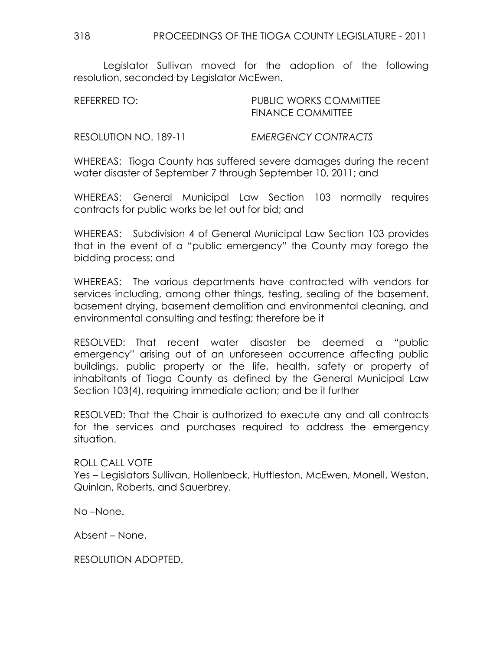Legislator Sullivan moved for the adoption of the following resolution, seconded by Legislator McEwen.

| REFERRED TO:          | PUBLIC WORKS COMMITTEE<br><b>FINANCE COMMITTEE</b> |
|-----------------------|----------------------------------------------------|
| RESOLUTION NO. 189-11 | EMERGENCY CONTRACTS                                |

WHEREAS: Tioga County has suffered severe damages during the recent water disaster of September 7 through September 10, 2011; and

WHEREAS: General Municipal Law Section 103 normally requires contracts for public works be let out for bid; and

WHEREAS: Subdivision 4 of General Municipal Law Section 103 provides that in the event of a "public emergency" the County may forego the bidding process; and

WHEREAS: The various departments have contracted with vendors for services including, among other things, testing, sealing of the basement, basement drying, basement demolition and environmental cleaning, and environmental consulting and testing; therefore be it

RESOLVED: That recent water disaster be deemed a "public emergency" arising out of an unforeseen occurrence affecting public buildings, public property or the life, health, safety or property of inhabitants of Tioga County as defined by the General Municipal Law Section 103(4), requiring immediate action; and be it further

RESOLVED: That the Chair is authorized to execute any and all contracts for the services and purchases required to address the emergency situation.

ROLL CALL VOTE Yes – Legislators Sullivan, Hollenbeck, Huttleston, McEwen, Monell, Weston, Quinlan, Roberts, and Sauerbrey.

No –None.

Absent – None.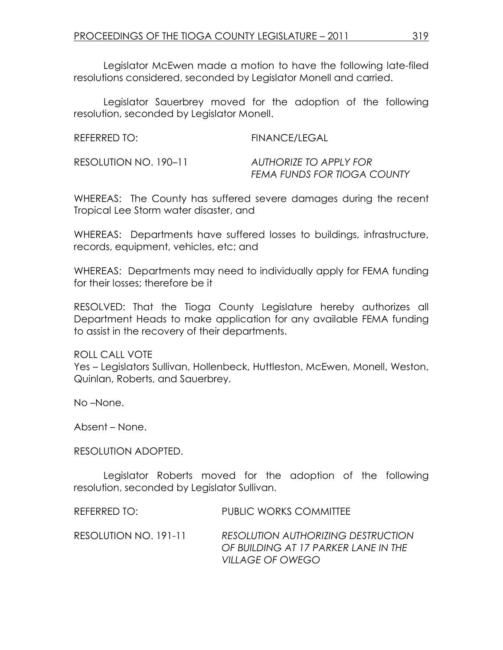Legislator McEwen made a motion to have the following late-filed resolutions considered, seconded by Legislator Monell and carried.

 Legislator Sauerbrey moved for the adoption of the following resolution, seconded by Legislator Monell.

| REFERRED TO:          | FINANCE/LEGAL                                         |
|-----------------------|-------------------------------------------------------|
| RESOLUTION NO. 190-11 | AUTHORIZE TO APPLY FOR<br>FEMA FUNDS FOR TIOGA COUNTY |

WHEREAS: The County has suffered severe damages during the recent Tropical Lee Storm water disaster, and

WHEREAS: Departments have suffered losses to buildings, infrastructure, records, equipment, vehicles, etc; and

WHEREAS: Departments may need to individually apply for FEMA funding for their losses; therefore be it

RESOLVED: That the Tioga County Legislature hereby authorizes all Department Heads to make application for any available FEMA funding to assist in the recovery of their departments.

ROLL CALL VOTE Yes – Legislators Sullivan, Hollenbeck, Huttleston, McEwen, Monell, Weston, Quinlan, Roberts, and Sauerbrey.

No –None.

Absent – None.

#### RESOLUTION ADOPTED.

 Legislator Roberts moved for the adoption of the following resolution, seconded by Legislator Sullivan.

REFERRED TO: PUBLIC WORKS COMMITTEE

RESOLUTION NO. 191-11 RESOLUTION AUTHORIZING DESTRUCTION OF BUILDING AT 17 PARKER LANE IN THE VILLAGE OF OWEGO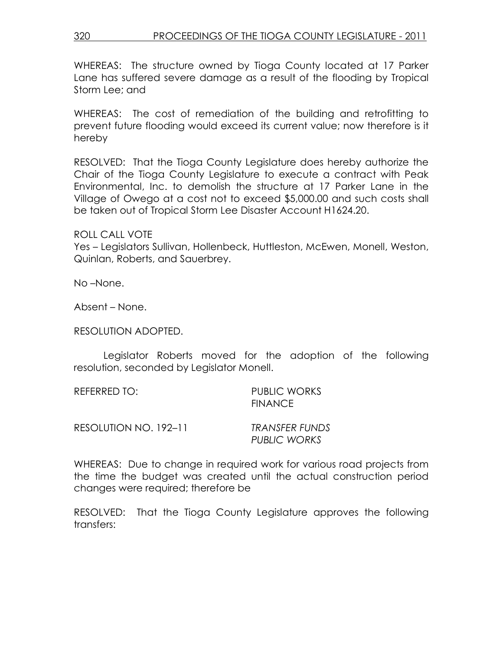WHEREAS: The structure owned by Tioga County located at 17 Parker Lane has suffered severe damage as a result of the flooding by Tropical Storm Lee; and

WHEREAS: The cost of remediation of the building and retrofitting to prevent future flooding would exceed its current value; now therefore is it hereby

RESOLVED: That the Tioga County Legislature does hereby authorize the Chair of the Tioga County Legislature to execute a contract with Peak Environmental, Inc. to demolish the structure at 17 Parker Lane in the Village of Owego at a cost not to exceed \$5,000.00 and such costs shall be taken out of Tropical Storm Lee Disaster Account H1624.20.

ROLL CALL VOTE

Yes – Legislators Sullivan, Hollenbeck, Huttleston, McEwen, Monell, Weston, Quinlan, Roberts, and Sauerbrey.

No –None.

Absent – None.

RESOLUTION ADOPTED.

 Legislator Roberts moved for the adoption of the following resolution, seconded by Legislator Monell.

| REFERRED TO:            | PUBLIC WORKS<br><b>FINANCE</b> |
|-------------------------|--------------------------------|
| $RFCOMIITIONNOM 192-11$ | TRANICEER ELININ               |

RESOLUTION NO. 192–11 TRANSFER FUNDS

PUBLIC WORKS

WHEREAS: Due to change in required work for various road projects from the time the budget was created until the actual construction period changes were required; therefore be

RESOLVED: That the Tioga County Legislature approves the following transfers: